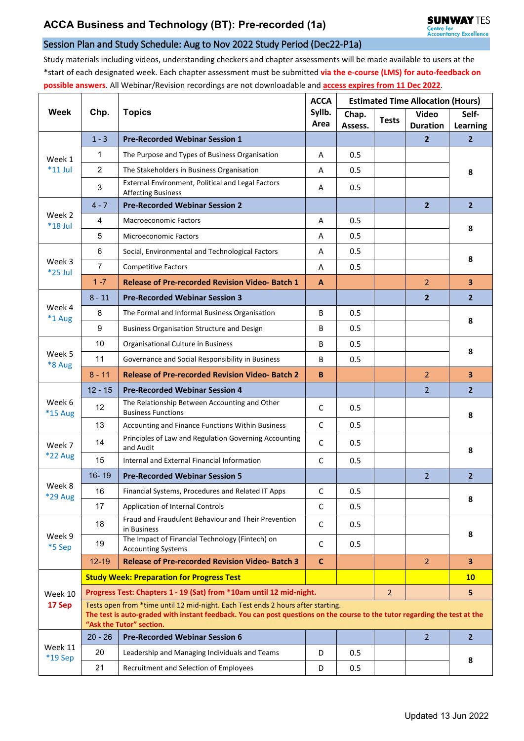## Session Plan and Study Schedule: Aug to Nov 2022 Study Period (Dec22-P1a)

Study materials including videos, understanding checkers and chapter assessments will be made available to users at the \*start of each designated week. Each chapter assessment must be submitted **via the e-course (LMS) for auto-feedback on possible answers**. All Webinar/Revision recordings are not downloadable and **access expires from 11 Dec 2022**.

| <b>Week</b>          | Chp.                                                                                                                                                                                                                                       | <b>Topics</b>                                                                  | <b>ACCA</b><br>Syllb.<br>Area | <b>Estimated Time Allocation (Hours)</b> |                |                                 |                          |  |  |  |
|----------------------|--------------------------------------------------------------------------------------------------------------------------------------------------------------------------------------------------------------------------------------------|--------------------------------------------------------------------------------|-------------------------------|------------------------------------------|----------------|---------------------------------|--------------------------|--|--|--|
|                      |                                                                                                                                                                                                                                            |                                                                                |                               | Chap.<br>Assess.                         | <b>Tests</b>   | <b>Video</b><br><b>Duration</b> | Self-<br><b>Learning</b> |  |  |  |
|                      | $1 - 3$                                                                                                                                                                                                                                    | <b>Pre-Recorded Webinar Session 1</b>                                          |                               |                                          |                | $\mathbf{2}$                    | $\overline{2}$           |  |  |  |
| Week 1<br>$*11$ Jul  | 1                                                                                                                                                                                                                                          | The Purpose and Types of Business Organisation                                 | A                             | 0.5                                      |                |                                 |                          |  |  |  |
|                      | $\overline{2}$                                                                                                                                                                                                                             | The Stakeholders in Business Organisation                                      | A                             | 0.5                                      |                |                                 | 8                        |  |  |  |
|                      | 3                                                                                                                                                                                                                                          | External Environment, Political and Legal Factors<br><b>Affecting Business</b> | A                             | 0.5                                      |                |                                 |                          |  |  |  |
| Week 2<br>$*18$ Jul  | $4 - 7$                                                                                                                                                                                                                                    | <b>Pre-Recorded Webinar Session 2</b>                                          |                               |                                          |                | $\overline{2}$                  | $\overline{2}$           |  |  |  |
|                      | 4                                                                                                                                                                                                                                          | <b>Macroeconomic Factors</b>                                                   | Α                             | 0.5                                      |                |                                 | 8                        |  |  |  |
|                      | 5                                                                                                                                                                                                                                          | <b>Microeconomic Factors</b>                                                   | Α                             | 0.5                                      |                |                                 |                          |  |  |  |
|                      | 6                                                                                                                                                                                                                                          | Social, Environmental and Technological Factors                                | A                             | 0.5                                      |                |                                 | 8                        |  |  |  |
| Week 3<br>$*25$ Jul  | $\overline{7}$                                                                                                                                                                                                                             | <b>Competitive Factors</b>                                                     | A                             | 0.5                                      |                |                                 |                          |  |  |  |
|                      | $1 - 7$                                                                                                                                                                                                                                    | <b>Release of Pre-recorded Revision Video-Batch 1</b>                          | A                             |                                          |                | $\overline{2}$                  | 3 <sup>2</sup>           |  |  |  |
| Week 4<br>*1 Aug     | $8 - 11$                                                                                                                                                                                                                                   | <b>Pre-Recorded Webinar Session 3</b>                                          |                               |                                          |                | $\overline{2}$                  | $\overline{2}$           |  |  |  |
|                      | 8                                                                                                                                                                                                                                          | The Formal and Informal Business Organisation                                  | B                             | 0.5                                      |                |                                 | 8                        |  |  |  |
|                      | 9                                                                                                                                                                                                                                          | <b>Business Organisation Structure and Design</b>                              | B                             | 0.5                                      |                |                                 |                          |  |  |  |
| Week 5<br>*8 Aug     | 10                                                                                                                                                                                                                                         | Organisational Culture in Business                                             | B                             | 0.5                                      |                |                                 | 8                        |  |  |  |
|                      | 11                                                                                                                                                                                                                                         | Governance and Social Responsibility in Business                               | B                             | 0.5                                      |                |                                 |                          |  |  |  |
|                      | $8 - 11$                                                                                                                                                                                                                                   | <b>Release of Pre-recorded Revision Video-Batch 2</b>                          | B                             |                                          |                | $\overline{2}$                  | 3                        |  |  |  |
| Week 6<br>*15 Aug    | $12 - 15$                                                                                                                                                                                                                                  | <b>Pre-Recorded Webinar Session 4</b>                                          |                               |                                          |                | $\overline{2}$                  | $\overline{2}$           |  |  |  |
|                      | 12                                                                                                                                                                                                                                         | The Relationship Between Accounting and Other<br><b>Business Functions</b>     | C                             | 0.5                                      |                |                                 | 8                        |  |  |  |
|                      | 13                                                                                                                                                                                                                                         | Accounting and Finance Functions Within Business                               | $\mathsf{C}$                  | 0.5                                      |                |                                 |                          |  |  |  |
| Week 7               | 14                                                                                                                                                                                                                                         | Principles of Law and Regulation Governing Accounting<br>and Audit             | $\mathsf C$                   | 0.5                                      |                |                                 | 8                        |  |  |  |
| <b>*22 Aug</b>       | 15                                                                                                                                                                                                                                         | Internal and External Financial Information                                    | $\mathsf{C}$                  | 0.5                                      |                |                                 |                          |  |  |  |
|                      | $16 - 19$                                                                                                                                                                                                                                  | <b>Pre-Recorded Webinar Session 5</b>                                          |                               |                                          |                | $\overline{2}$                  | $\overline{2}$           |  |  |  |
| Week 8<br>*29 Aug    | 16                                                                                                                                                                                                                                         | Financial Systems, Procedures and Related IT Apps                              | C                             | 0.5                                      |                |                                 | 8                        |  |  |  |
|                      | 17                                                                                                                                                                                                                                         | Application of Internal Controls                                               | $\mathsf{C}$                  | 0.5                                      |                |                                 |                          |  |  |  |
| Week 9<br>*5 Sep     | 18                                                                                                                                                                                                                                         | Fraud and Fraudulent Behaviour and Their Prevention<br>in Business             | $\mathsf C$                   | 0.5                                      |                |                                 | 8                        |  |  |  |
|                      | 19                                                                                                                                                                                                                                         | The Impact of Financial Technology (Fintech) on<br><b>Accounting Systems</b>   | C                             | 0.5                                      |                |                                 |                          |  |  |  |
|                      | $12 - 19$                                                                                                                                                                                                                                  | <b>Release of Pre-recorded Revision Video-Batch 3</b>                          | $\mathbf C$                   |                                          |                | $\overline{2}$                  | $\overline{\mathbf{3}}$  |  |  |  |
|                      |                                                                                                                                                                                                                                            | <b>Study Week: Preparation for Progress Test</b>                               |                               |                                          |                |                                 | 10                       |  |  |  |
| Week 10              | Progress Test: Chapters 1 - 19 (Sat) from *10am until 12 mid-night.                                                                                                                                                                        |                                                                                |                               |                                          | $\overline{2}$ |                                 | 5                        |  |  |  |
| 17 Sep               | Tests open from *time until 12 mid-night. Each Test ends 2 hours after starting.<br>The test is auto-graded with instant feedback. You can post questions on the course to the tutor regarding the test at the<br>"Ask the Tutor" section. |                                                                                |                               |                                          |                |                                 |                          |  |  |  |
| Week 11<br>$*19$ Sep | $20 - 26$                                                                                                                                                                                                                                  | <b>Pre-Recorded Webinar Session 6</b>                                          |                               |                                          |                | $\overline{2}$                  | $\overline{2}$           |  |  |  |
|                      | 20                                                                                                                                                                                                                                         | Leadership and Managing Individuals and Teams                                  | D                             | 0.5                                      |                |                                 | 8                        |  |  |  |
|                      | 21                                                                                                                                                                                                                                         | Recruitment and Selection of Employees                                         | D                             | 0.5                                      |                |                                 |                          |  |  |  |